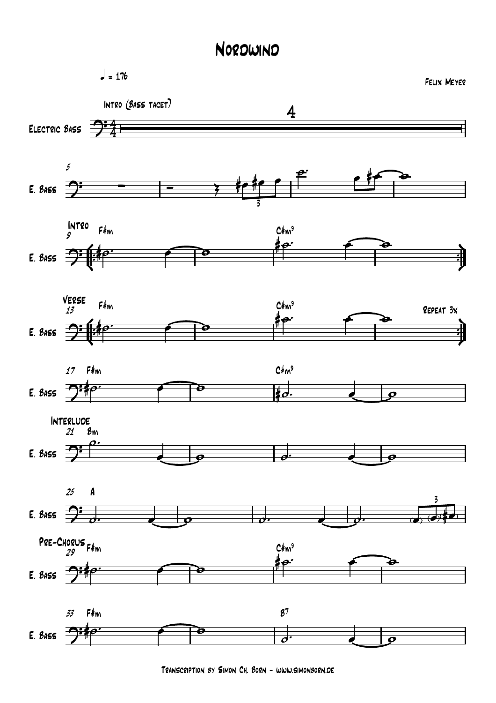## Nordwind

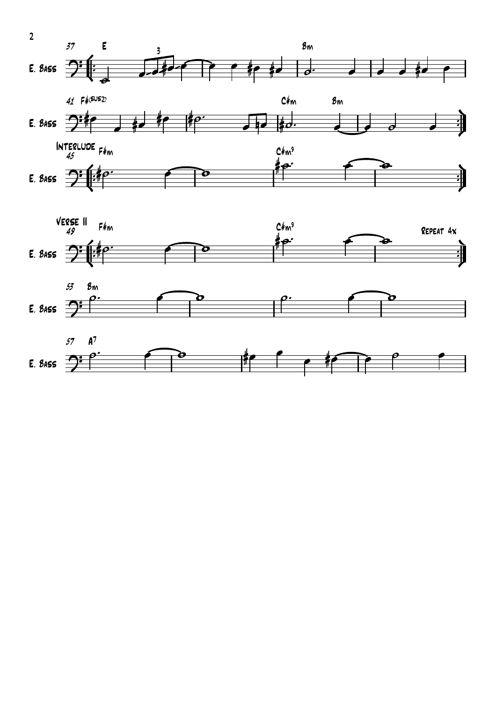